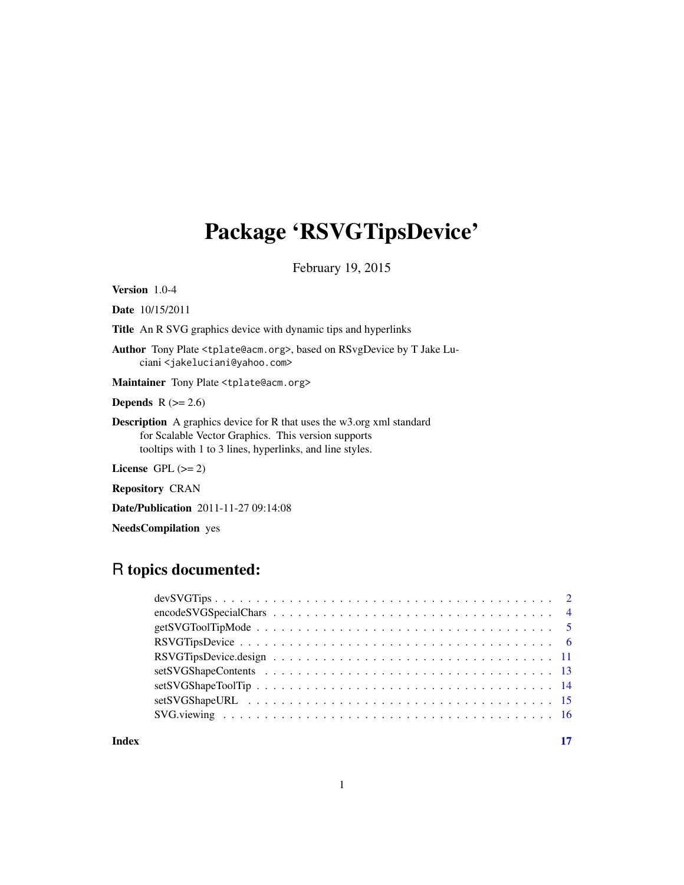## <span id="page-0-0"></span>Package 'RSVGTipsDevice'

February 19, 2015

Version 1.0-4

Date 10/15/2011

Title An R SVG graphics device with dynamic tips and hyperlinks

Author Tony Plate <tplate@acm.org>, based on RSvgDevice by T Jake Luciani <jakeluciani@yahoo.com>

Maintainer Tony Plate <tplate@acm.org>

**Depends**  $R$  ( $>= 2.6$ )

Description A graphics device for R that uses the w3.org xml standard for Scalable Vector Graphics. This version supports tooltips with 1 to 3 lines, hyperlinks, and line styles.

License GPL  $(>= 2)$ 

Repository CRAN

Date/Publication 2011-11-27 09:14:08

NeedsCompilation yes

## R topics documented:

**Index** [17](#page-16-0)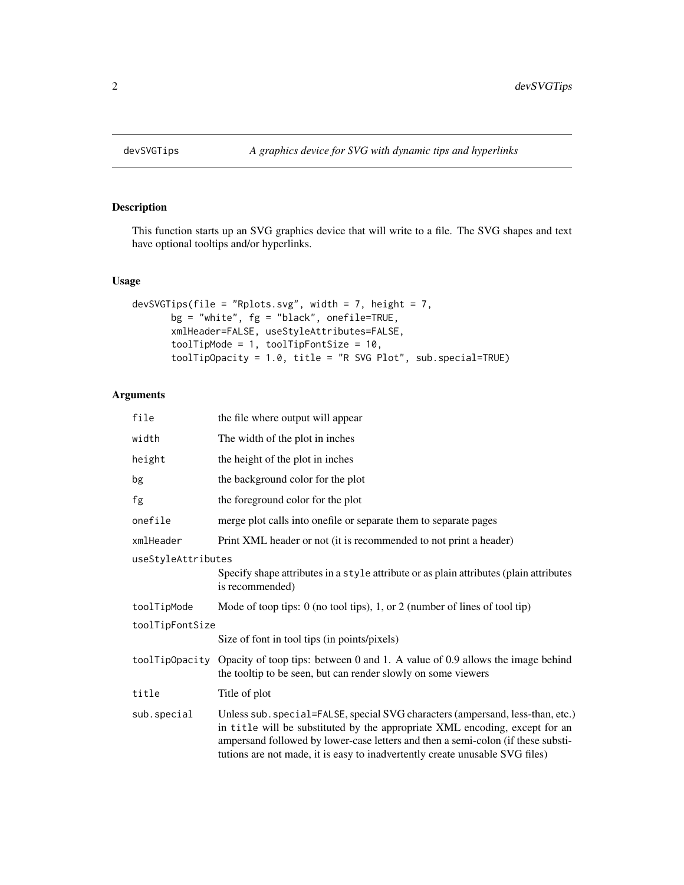<span id="page-1-1"></span><span id="page-1-0"></span>

## Description

This function starts up an SVG graphics device that will write to a file. The SVG shapes and text have optional tooltips and/or hyperlinks.

## Usage

```
devSVGTips(file = "Rplots.svg", width = 7, height = 7,
       bg = "white", fg = "black", onefile=TRUE,
       xmlHeader=FALSE, useStyleAttributes=FALSE,
       toolTipMode = 1, toolTipFontSize = 10,
       toolTipOpacity = 1.0, title = "R SVG Plot", sub.special=TRUE)
```
## Arguments

| file               | the file where output will appear                                                                                                                                                                                                                                                                                                 |
|--------------------|-----------------------------------------------------------------------------------------------------------------------------------------------------------------------------------------------------------------------------------------------------------------------------------------------------------------------------------|
| width              | The width of the plot in inches                                                                                                                                                                                                                                                                                                   |
| height             | the height of the plot in inches                                                                                                                                                                                                                                                                                                  |
| bg                 | the background color for the plot                                                                                                                                                                                                                                                                                                 |
| fg                 | the foreground color for the plot                                                                                                                                                                                                                                                                                                 |
| onefile            | merge plot calls into onefile or separate them to separate pages                                                                                                                                                                                                                                                                  |
| xmlHeader          | Print XML header or not (it is recommended to not print a header)                                                                                                                                                                                                                                                                 |
| useStyleAttributes |                                                                                                                                                                                                                                                                                                                                   |
|                    | Specify shape attributes in a style attribute or as plain attributes (plain attributes<br>is recommended)                                                                                                                                                                                                                         |
| toolTipMode        | Mode of toop tips: $0$ (no tool tips), 1, or 2 (number of lines of tool tip)                                                                                                                                                                                                                                                      |
| toolTipFontSize    |                                                                                                                                                                                                                                                                                                                                   |
|                    | Size of font in tool tips (in points/pixels)                                                                                                                                                                                                                                                                                      |
|                    | toolTipOpacity Opacity of toop tips: between 0 and 1. A value of 0.9 allows the image behind<br>the tooltip to be seen, but can render slowly on some viewers                                                                                                                                                                     |
| title              | Title of plot                                                                                                                                                                                                                                                                                                                     |
| sub.special        | Unless sub. special=FALSE, special SVG characters (ampersand, less-than, etc.)<br>in title will be substituted by the appropriate XML encoding, except for an<br>ampersand followed by lower-case letters and then a semi-colon (if these substi-<br>tutions are not made, it is easy to inadvertently create unusable SVG files) |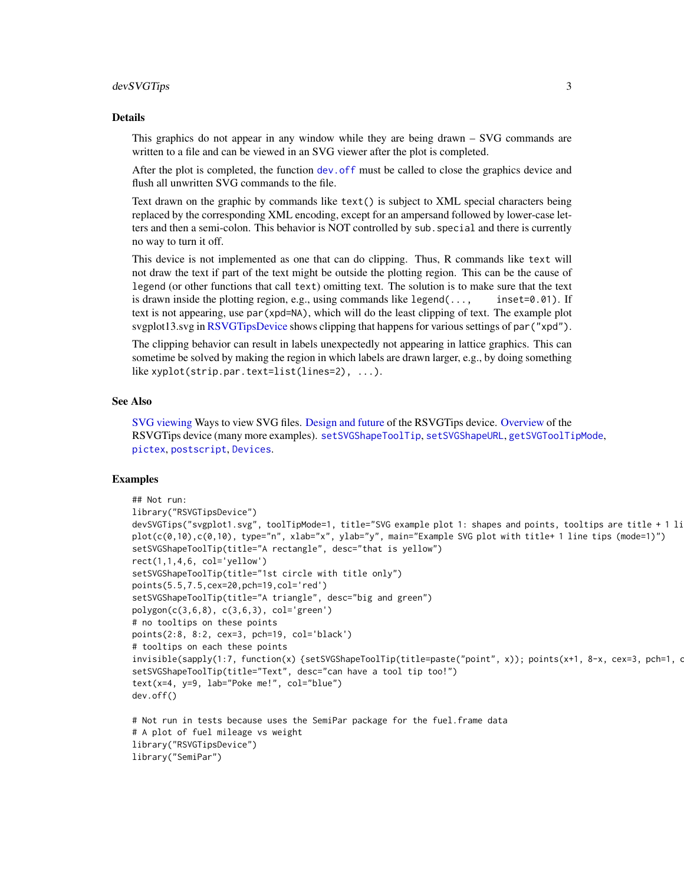#### <span id="page-2-0"></span>devSVGTips 3

#### Details

This graphics do not appear in any window while they are being drawn – SVG commands are written to a file and can be viewed in an SVG viewer after the plot is completed.

After the plot is completed, the function [dev.off](#page-0-0) must be called to close the graphics device and flush all unwritten SVG commands to the file.

Text drawn on the graphic by commands like text() is subject to XML special characters being replaced by the corresponding XML encoding, except for an ampersand followed by lower-case letters and then a semi-colon. This behavior is NOT controlled by sub.special and there is currently no way to turn it off.

This device is not implemented as one that can do clipping. Thus, R commands like text will not draw the text if part of the text might be outside the plotting region. This can be the cause of legend (or other functions that call text) omitting text. The solution is to make sure that the text is drawn inside the plotting region, e.g., using commands like legend(..., inset=0.01). If text is not appearing, use par(xpd=NA), which will do the least clipping of text. The example plot svgplot13.svg in [RSVGTipsDevice](#page-5-1) shows clipping that happens for various settings of par("xpd").

The clipping behavior can result in labels unexpectedly not appearing in lattice graphics. This can sometime be solved by making the region in which labels are drawn larger, e.g., by doing something like xyplot(strip.par.text=list(lines=2), ...).

#### See Also

[SVG viewing](#page-15-1) Ways to view SVG files. [Design and future](#page-10-1) of the RSVGTips device. [Overview](#page-5-1) of the RSVGTips device (many more examples). [setSVGShapeToolTip](#page-13-1), [setSVGShapeURL](#page-14-1), [getSVGToolTipMode](#page-4-1), [pictex](#page-0-0), [postscript](#page-0-0), [Devices](#page-0-0).

#### Examples

```
## Not run:
library("RSVGTipsDevice")
devSVGTips("svgplot1.svg", toolTipMode=1, title="SVG example plot 1: shapes and points, tooltips are title + 1 li
plot(c(0,10),c(0,10), type="n", xlab="x", ylab="y", main="Example SVG plot with title+ 1 line tips (mode=1)")
setSVGShapeToolTip(title="A rectangle", desc="that is yellow")
rect(1,1,4,6, col='yellow')setSVGShapeToolTip(title="1st circle with title only")
points(5.5,7.5,cex=20,pch=19,col='red')
setSVGShapeToolTip(title="A triangle", desc="big and green")
polygon(c(3,6,8), c(3,6,3), col='green')# no tooltips on these points
points(2:8, 8:2, cex=3, pch=19, col='black')
# tooltips on each these points
invisible(sapply(1:7, function(x) {setSVGShapeToolTip(title=paste("point", x)); points(x+1, 8-x, cex=3, pch=1, o
setSVGShapeToolTip(title="Text", desc="can have a tool tip too!")
text(x=4, y=9, lab="Poke me!", col="blue")
dev.off()
# Not run in tests because uses the SemiPar package for the fuel.frame data
# A plot of fuel mileage vs weight
library("RSVGTipsDevice")
```

```
library("SemiPar")
```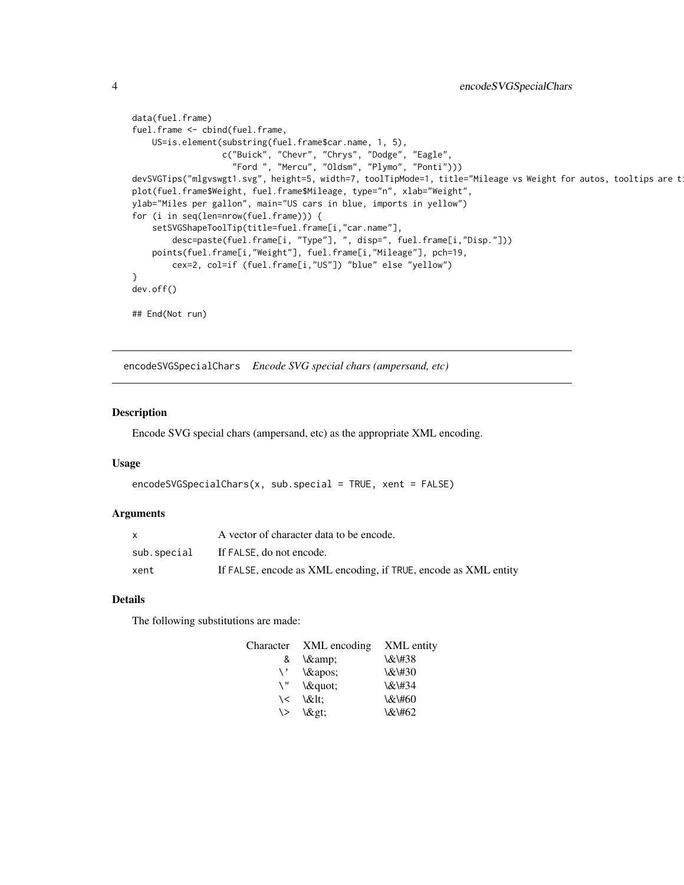```
data(fuel.frame)
fuel.frame <- cbind(fuel.frame,
   US=is.element(substring(fuel.frame$car.name, 1, 5),
                  c("Buick", "Chevr", "Chrys", "Dodge", "Eagle",
                    "Ford ", "Mercu", "Oldsm", "Plymo", "Ponti")))
devSVGTips("mlgvswgt1.svg", height=5, width=7, toolTipMode=1, title="Mileage vs Weight for autos, tooltips are t
plot(fuel.frame$Weight, fuel.frame$Mileage, type="n", xlab="Weight",
ylab="Miles per gallon", main="US cars in blue, imports in yellow")
for (i in seq(len=nrow(fuel.frame))) {
    setSVGShapeToolTip(title=fuel.frame[i,"car.name"],
        desc=paste(fuel.frame[i, "Type"], ", disp=", fuel.frame[i,"Disp."]))
   points(fuel.frame[i,"Weight"], fuel.frame[i,"Mileage"], pch=19,
        cex=2, col=if (fuel.frame[i,"US"]) "blue" else "yellow")
}
dev.off()
## End(Not run)
```
encodeSVGSpecialChars *Encode SVG special chars (ampersand, etc)*

#### Description

Encode SVG special chars (ampersand, etc) as the appropriate XML encoding.

#### Usage

```
encodeSVGSpecialChars(x, sub.special = TRUE, xent = FALSE)
```
#### Arguments

|             | A vector of character data to be encode.                        |
|-------------|-----------------------------------------------------------------|
| sub.special | If FALSE, do not encode.                                        |
| xent        | If FALSE, encode as XML encoding, if TRUE, encode as XML entity |

## Details

The following substitutions are made:

| Character | XML encoding | XML entity |
|-----------|--------------|------------|
| &         | \&           | \&\#38     |
| \ '       | $\&$ apos;   | \&\#30     |
| \ "       | \"           | \&\#34     |
| ヽく        | \<:          | \&\#60     |
| \>        | \>           | \&\#62     |

<span id="page-3-0"></span>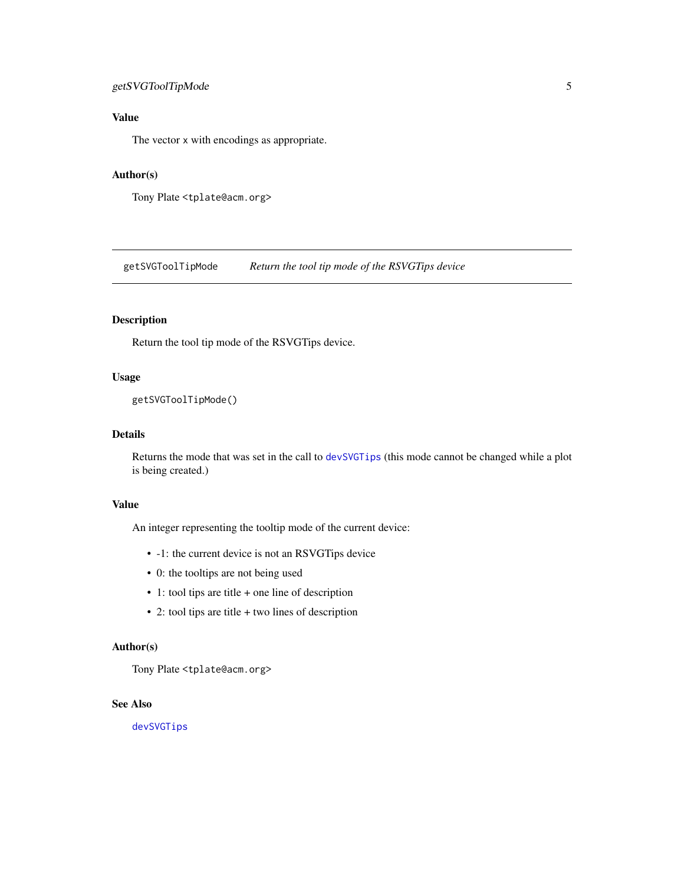## <span id="page-4-0"></span>getSVGToolTipMode 5

## Value

The vector x with encodings as appropriate.

## Author(s)

Tony Plate <tplate@acm.org>

<span id="page-4-1"></span>getSVGToolTipMode *Return the tool tip mode of the RSVGTips device*

## Description

Return the tool tip mode of the RSVGTips device.

#### Usage

getSVGToolTipMode()

## Details

Returns the mode that was set in the call to [devSVGTips](#page-1-1) (this mode cannot be changed while a plot is being created.)

## Value

An integer representing the tooltip mode of the current device:

- -1: the current device is not an RSVGTips device
- 0: the tooltips are not being used
- 1: tool tips are title + one line of description
- 2: tool tips are title + two lines of description

## Author(s)

Tony Plate <tplate@acm.org>

## See Also

[devSVGTips](#page-1-1)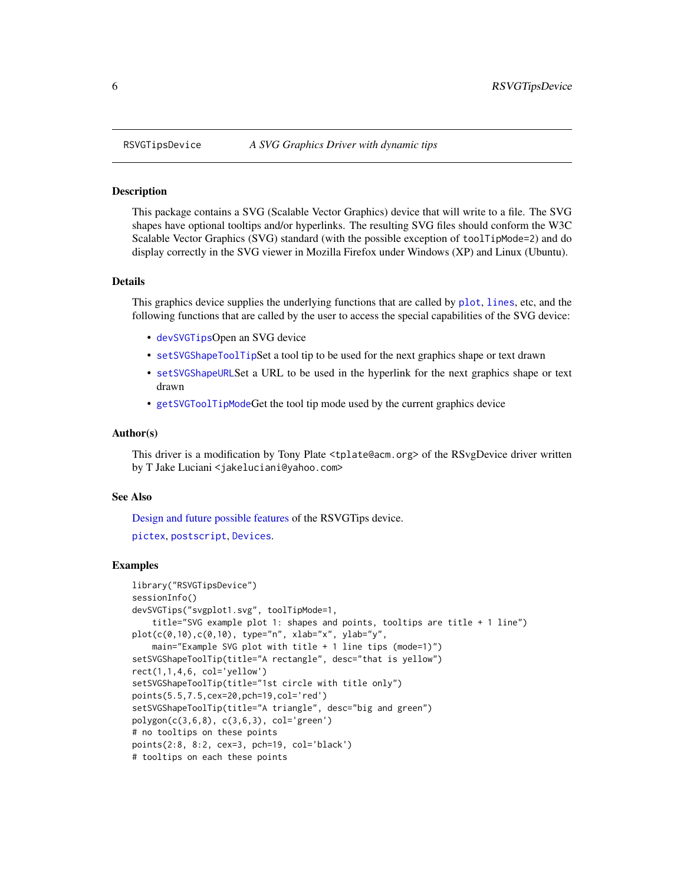#### Description

This package contains a SVG (Scalable Vector Graphics) device that will write to a file. The SVG shapes have optional tooltips and/or hyperlinks. The resulting SVG files should conform the W3C Scalable Vector Graphics (SVG) standard (with the possible exception of toolTipMode=2) and do display correctly in the SVG viewer in Mozilla Firefox under Windows (XP) and Linux (Ubuntu).

#### Details

This graphics device supplies the underlying functions that are called by [plot](#page-0-0), [lines](#page-0-0), etc, and the following functions that are called by the user to access the special capabilities of the SVG device:

- [devSVGTips](#page-1-1)Open an SVG device
- [setSVGShapeToolTip](#page-13-1)Set a tool tip to be used for the next graphics shape or text drawn
- [setSVGShapeURL](#page-14-1)Set a URL to be used in the hyperlink for the next graphics shape or text drawn
- [getSVGToolTipMode](#page-4-1)Get the tool tip mode used by the current graphics device

#### Author(s)

This driver is a modification by Tony Plate <tplate@acm.org> of the RSvgDevice driver written by T Jake Luciani <jakeluciani@yahoo.com>

#### See Also

[Design and future possible features](#page-10-1) of the RSVGTips device.

```
pictex, postscript, Devices.
```
#### Examples

```
library("RSVGTipsDevice")
sessionInfo()
devSVGTips("svgplot1.svg", toolTipMode=1,
    title="SVG example plot 1: shapes and points, tooltips are title + 1 line")
plot(c(0,10),c(0,10), type="n", xlabel=x", ylab='y",main="Example SVG plot with title + 1 line tips (mode=1)")
setSVGShapeToolTip(title="A rectangle", desc="that is yellow")
rect(1,1,4,6, col='yellow')setSVGShapeToolTip(title="1st circle with title only")
points(5.5,7.5,cex=20,pch=19,col='red')
setSVGShapeToolTip(title="A triangle", desc="big and green")
polygon(c(3,6,8), c(3,6,3), col='green')
# no tooltips on these points
points(2:8, 8:2, cex=3, pch=19, col='black')
# tooltips on each these points
```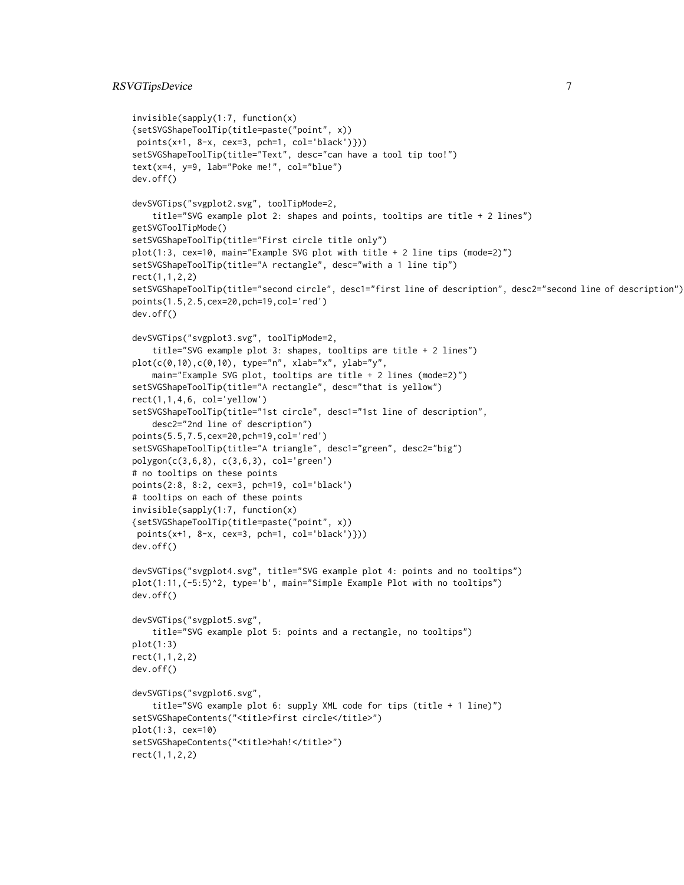## RSVGTipsDevice 7

```
invisible(sapply(1:7, function(x)
{setSVGShapeToolTip(title=paste("point", x))
points(x+1, 8-x, cex=3, pch=1, col='black')}))
setSVGShapeToolTip(title="Text", desc="can have a tool tip too!")
text(x=4, y=9, lab="Poke me!", col="blue")
dev.off()
devSVGTips("svgplot2.svg", toolTipMode=2,
    title="SVG example plot 2: shapes and points, tooltips are title + 2 lines")
getSVGToolTipMode()
setSVGShapeToolTip(title="First circle title only")
plot(1:3, cex=10, main="Example SVG plot with title + 2 line tips (mode=2)")
setSVGShapeToolTip(title="A rectangle", desc="with a 1 line tip")
rect(1,1,2,2)
setSVGShapeToolTip(title="second circle", desc1="first line of description", desc2="second line of description")
points(1.5,2.5,cex=20,pch=19,col='red')
dev.off()
devSVGTips("svgplot3.svg", toolTipMode=2,
    title="SVG example plot 3: shapes, tooltips are title + 2 lines")
plot(c(0,10),c(0,10), type="n", xlab="x", ylab="y",
    main="Example SVG plot, tooltips are title + 2 lines (mode=2)")
setSVGShapeToolTip(title="A rectangle", desc="that is yellow")
rect(1,1,4,6, col='yellow')
setSVGShapeToolTip(title="1st circle", desc1="1st line of description",
    desc2="2nd line of description")
points(5.5,7.5,cex=20,pch=19,col='red')
setSVGShapeToolTip(title="A triangle", desc1="green", desc2="big")
polygon(c(3,6,8), c(3,6,3), col='green')
# no tooltips on these points
points(2:8, 8:2, cex=3, pch=19, col='black')
# tooltips on each of these points
invisible(sapply(1:7, function(x)
{setSVGShapeToolTip(title=paste("point", x))
points(x+1, 8-x, cex=3, pch=1, col='black')}))
dev.off()
devSVGTips("svgplot4.svg", title="SVG example plot 4: points and no tooltips")
plot(1:11,(-5:5)^2, type='b', main="Simple Example Plot with no tooltips")
dev.off()
devSVGTips("svgplot5.svg",
    title="SVG example plot 5: points and a rectangle, no tooltips")
plot(1:3)
rect(1,1,2,2)
dev.off()
devSVGTips("svgplot6.svg",
    title="SVG example plot 6: supply XML code for tips (title + 1 line)")
setSVGShapeContents("<title>first circle</title>")
plot(1:3, cex=10)
setSVGShapeContents("<title>hah!</title>")
rect(1,1,2,2)
```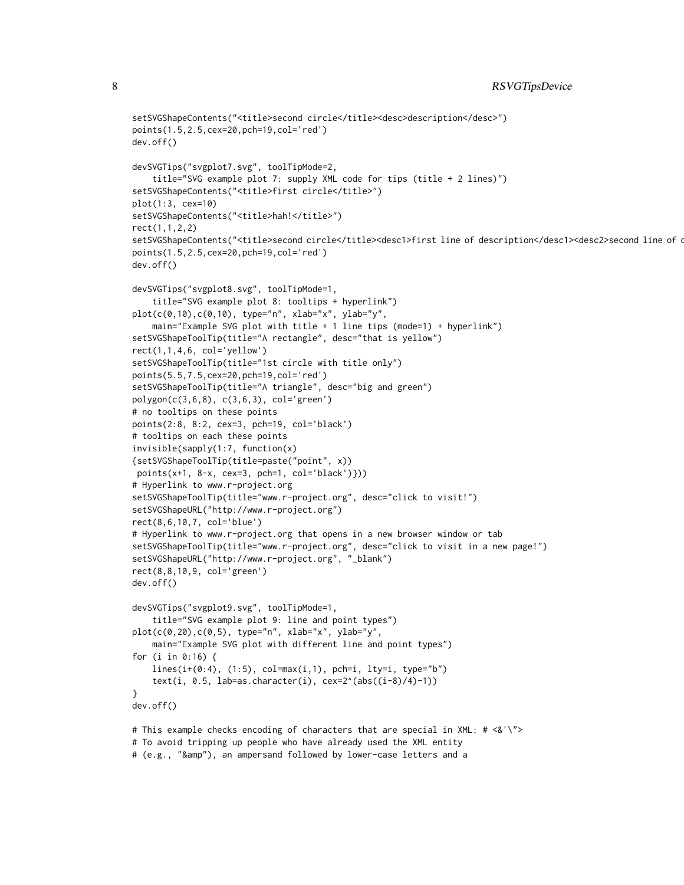```
setSVGShapeContents("<title>second circle</title><desc>description</desc>")
points(1.5,2.5,cex=20,pch=19,col='red')
dev.off()
devSVGTips("svgplot7.svg", toolTipMode=2,
    title="SVG example plot 7: supply XML code for tips (title + 2 lines)")
setSVGShapeContents("<title>first circle</title>")
plot(1:3, cex=10)
setSVGShapeContents("<title>hah!</title>")
rect(1,1,2,2)
setSVGShapeContents("<title>second circle</title><desc1>first line of description</desc1><desc2>second line of description</desc1>>
points(1.5,2.5,cex=20,pch=19,col='red')
dev.off()
devSVGTips("svgplot8.svg", toolTipMode=1,
    title="SVG example plot 8: tooltips + hyperlink")
plot(c(0,10),c(0,10), type="n", xlab="x", ylab="y",
    main="Example SVG plot with title + 1 line tips (mode=1) + hyperlink")
setSVGShapeToolTip(title="A rectangle", desc="that is yellow")
rect(1,1,4,6, col='yellow')setSVGShapeToolTip(title="1st circle with title only")
points(5.5,7.5,cex=20,pch=19,col='red')
setSVGShapeToolTip(title="A triangle", desc="big and green")
polygon(c(3,6,8), c(3,6,3), col='green')
# no tooltips on these points
points(2:8, 8:2, cex=3, pch=19, col='black')
# tooltips on each these points
invisible(sapply(1:7, function(x)
{setSVGShapeToolTip(title=paste("point", x))
 points(x+1, 8-x, cex=3, pch=1, col='black')}))
# Hyperlink to www.r-project.org
setSVGShapeToolTip(title="www.r-project.org", desc="click to visit!")
setSVGShapeURL("http://www.r-project.org")
rect(8,6,10,7, col='blue')
# Hyperlink to www.r-project.org that opens in a new browser window or tab
setSVGShapeToolTip(title="www.r-project.org", desc="click to visit in a new page!")
setSVGShapeURL("http://www.r-project.org", "_blank")
rect(8,8,10,9, col='green')
dev.off()
devSVGTips("svgplot9.svg", toolTipMode=1,
    title="SVG example plot 9: line and point types")
plot(c(0,20),c(0,5), type="n", xlab="x", ylab="y",
    main="Example SVG plot with different line and point types")
for (i in 0:16) {
    lines(i+(0:4), (1:5), col=max(i,1), pch=i, lty=i, type="b")text(i, 0.5, lab=as.character(i), cex=2^{(a-1)(a-8)}(i-8)/4)-1))
}
dev.off()
# This example checks encoding of characters that are special in XML: # <&'\">
# To avoid tripping up people who have already used the XML entity
```

```
# (e.g., "&amp"), an ampersand followed by lower-case letters and a
```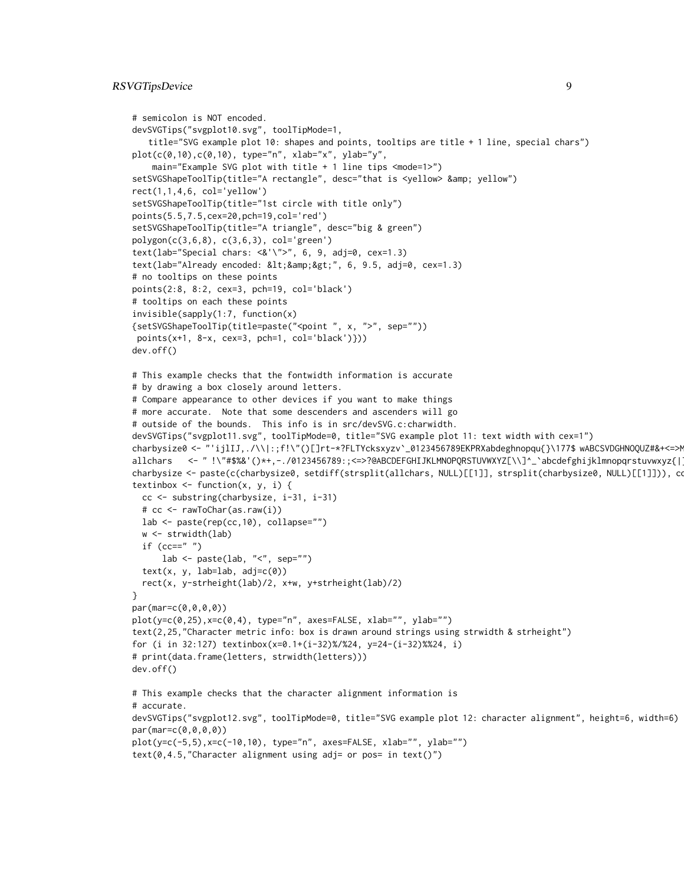```
# semicolon is NOT encoded.
devSVGTips("svgplot10.svg", toolTipMode=1,
   title="SVG example plot 10: shapes and points, tooltips are title + 1 line, special chars")
plot(c(0,10),c(0,10), type="n", xlab="x", ylab="y",
    main="Example SVG plot with title + 1 line tips <mode=1>")
setSVGShapeToolTip(title="A rectangle", desc="that is <yellow> &amp; yellow")
rect(1,1,4,6, col='yellow')setSVGShapeToolTip(title="1st circle with title only")
points(5.5,7.5,cex=20,pch=19,col='red')
setSVGShapeToolTip(title="A triangle", desc="big & green")
polygon(c(3,6,8), c(3,6,3), col='green')
text(lab="Special chars: \langle \&' \rangle">", 6, 9, adj=0, cex=1.3)
text(lab="Already encoded: <&amp;&gt;", 6, 9.5, adj=0, cex=1.3)
# no tooltips on these points
points(2:8, 8:2, cex=3, pch=19, col='black')
# tooltips on each these points
invisible(sapply(1:7, function(x)
{setSVGShapeToolTip(title=paste("<point ", x, ">", sep=""))
points(x+1, 8-x, cex=3, pch=1, col='black')}))
dev.off()
# This example checks that the fontwidth information is accurate
# by drawing a box closely around letters.
# Compare appearance to other devices if you want to make things
# more accurate. Note that some descenders and ascenders will go
# outside of the bounds. This info is in src/devSVG.c:charwidth.
devSVGTips("svgplot11.svg", toolTipMode=0, title="SVG example plot 11: text width with cex=1")
charbysize0 <- "'ijlIJ,./\\|:;f!\"()[]rt-*?FLTYcksxyzv`_0123456789EKPRXabdeghnopqu{}\177$ wABCSVDGHNOQUZ#&+<=>M
allchars <- " !\"#$%&'()*+,-./0123456789:;<=>?@ABCDEFGHIJKLMNOPQRSTUVWXYZ[\\]^_`abcdefghijklmnopqrstuvwxyz{|}~\177"
charbysize <- paste(c(charbysize0, setdiff(strsplit(allchars, NULL)[[1]], strsplit(charbysize0, NULL)[[1]])), co
textinbox \leq function(x, y, i) {
 cc <- substring(charbysize, i-31, i-31)
 # cc <- rawToChar(as.raw(i))
 lab <- paste(rep(cc,10), collapse="")
 w <- strwidth(lab)
 if (cc=="")lab \leq paste(lab, "\leq", sep="")
 text(x, y, lab=lab, adj=c(0))rect(x, y-strheight(lab)/2, x+w, y+strheight(lab)/2)
}
par(mar=c(0,0,0,0))
plot(y=c(0,25),x=c(0,4), type="n", axes=FALSE, xlab="", ylab="")
text(2,25,"Character metric info: box is drawn around strings using strwidth & strheight")
for (i in 32:127) textinbox(x=0.1+(i-32)%/%24, y=24-(i-32)%%24, i)
# print(data.frame(letters, strwidth(letters)))
dev.off()
# This example checks that the character alignment information is
# accurate.
devSVGTips("svgplot12.svg", toolTipMode=0, title="SVG example plot 12: character alignment", height=6, width=6)
par(mar=c(0,0,0,0))
plot(y=c(-5,5),x=c(-10,10), type="n", axes=FALSE, xlab="", ylab="")
text(0,4.5, "Character alignment using adj= or pos= in text()")
```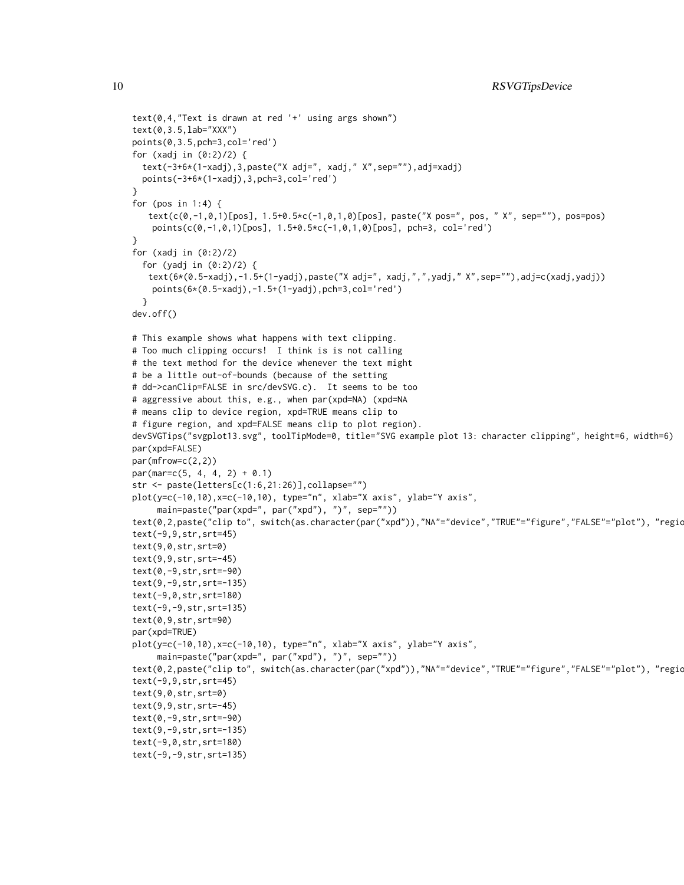```
text(0,4,"Text is drawn at red '+' using args shown")
text(0,3.5,lab="XXX")
points(0,3.5,pch=3,col='red')
for (xadj in (0:2)/2) {
  text(-3+6*(1-xadj),3,paste("X adj=", xadj," X",sep=""),adj=xadj)
  points(-3+6*(1-xadj),3,pch=3,col='red')
}
for (pos in 1:4) {
   text(c(0,-1,0,1)[pos], 1.5+0.5*c(-1,0,1,0)[pos], paste("X pos=", pos, " X", sep=""), pos=pos)
   points(c(0,-1,0,1)[pos], 1.5+0.5*c(-1,0,1,0)[pos], pch=3, col='red')
}
for (xadj in (0:2)/2)for (yadj in (0:2)/2) {
   text(6*(0.5-xadj),-1.5+(1-yadj),paste("X adj=", xadj,",",yadj," X",sep=""),adj=c(xadj,yadj))
   points(6*(0.5-xadj),-1.5+(1-yadj),pch=3,col='red')
  }
dev.off()
# This example shows what happens with text clipping.
# Too much clipping occurs! I think is is not calling
# the text method for the device whenever the text might
# be a little out-of-bounds (because of the setting
# dd->canClip=FALSE in src/devSVG.c). It seems to be too
# aggressive about this, e.g., when par(xpd=NA) (xpd=NA
# means clip to device region, xpd=TRUE means clip to
# figure region, and xpd=FALSE means clip to plot region).
devSVGTips("svgplot13.svg", toolTipMode=0, title="SVG example plot 13: character clipping", height=6, width=6)
par(xpd=FALSE)
par(mfrow=c(2,2))
par(max=c(5, 4, 4, 2) + 0.1)str <- paste(letters[c(1:6,21:26)],collapse="")
plot(y=c(-10,10),x=c(-10,10), type="n", xlab="X axis", ylab="Y axis",
     main=paste("par(xpd=", par("xpd"), ")", sep=""))
text(0,2,paste("clip to", switch(as.character(par("xpd")),"NA"="device","TRUE"="figure","FALSE"="plot"), "regio
text(-9,9,str,srt=45)
text(9,0,str,srt=0)
text(9,9,str,srt=-45)
text(0,-9,str,srt=-90)
text(9,-9,str,srt=-135)
text(-9,0,str,srt=180)
text(-9,-9,str,srt=135)
text(0,9,str,srt=90)
par(xpd=TRUE)
plot(y=c(-10,10),x=c(-10,10), type="n", xlab="X axis", ylab="Y axis",
     main=paste("par(xpd=", par("xpd"), ")", sep=""))
text(0,2,paste("clip to", switch(as.character(par("xpd")),"NA"="device","TRUE"="figure","FALSE"="plot"), "regio
text(-9,9,str,srt=45)
text(9,0,str,srt=0)
text(9,9,str,srt=-45)
text(0,-9,str,srt=-90)
text(9,-9,str,srt=-135)
text(-9,0,str,srt=180)
text(-9,-9,str,srt=135)
```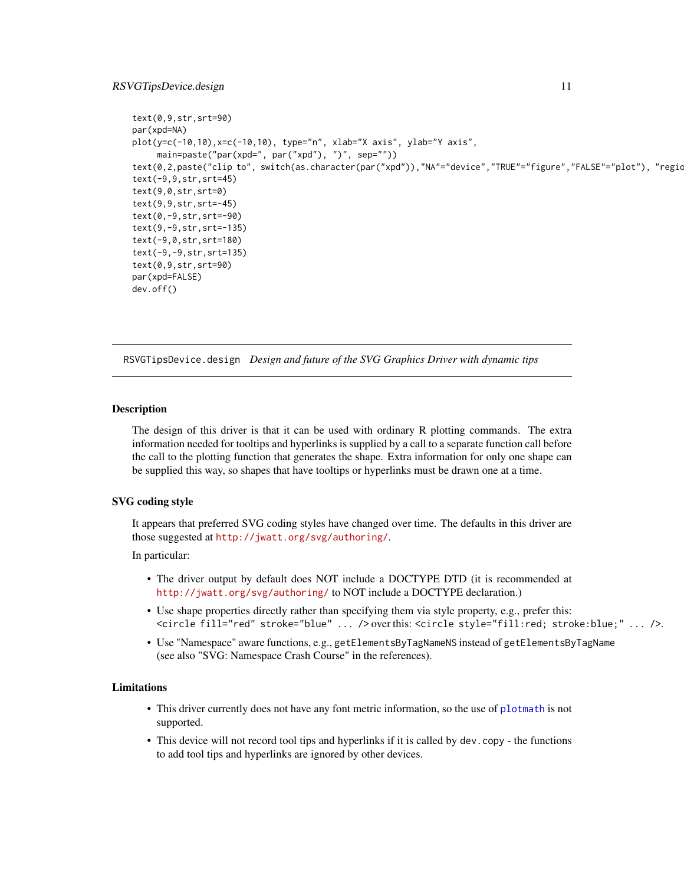#### <span id="page-10-0"></span>RSVGTipsDevice.design 11

```
text(0,9,str,srt=90)
par(xpd=NA)
plot(y=c(-10,10),x=c(-10,10), type="n", xlab="X axis", ylab="Y axis",
     main=paste("par(xpd=", par("xpd"), ")", sep=""))
text(0,2,paste("clip to", switch(as.character(par("xpd")),"NA"="device","TRUE"="figure","FALSE"="plot"), "regio
text(-9,9,str,srt=45)
text(9,0,str,srt=0)
text(9,9,str,srt=-45)
text(0,-9,str,srt=-90)
text(9,-9,str,srt=-135)
text(-9,0,str,srt=180)
text(-9,-9,str,srt=135)
text(0,9,str,srt=90)
par(xpd=FALSE)
dev.off()
```
<span id="page-10-1"></span>RSVGTipsDevice.design *Design and future of the SVG Graphics Driver with dynamic tips*

#### **Description**

The design of this driver is that it can be used with ordinary R plotting commands. The extra information needed for tooltips and hyperlinks is supplied by a call to a separate function call before the call to the plotting function that generates the shape. Extra information for only one shape can be supplied this way, so shapes that have tooltips or hyperlinks must be drawn one at a time.

## SVG coding style

It appears that preferred SVG coding styles have changed over time. The defaults in this driver are those suggested at <http://jwatt.org/svg/authoring/>.

#### In particular:

- The driver output by default does NOT include a DOCTYPE DTD (it is recommended at <http://jwatt.org/svg/authoring/> to NOT include a DOCTYPE declaration.)
- Use shape properties directly rather than specifying them via style property, e.g., prefer this: <circle fill="red" stroke="blue" ... /> over this: <circle style="fill:red; stroke:blue;" ... />.
- Use "Namespace" aware functions, e.g., getElementsByTagNameNS instead of getElementsByTagName (see also "SVG: Namespace Crash Course" in the references).

## Limitations

- This driver currently does not have any font metric information, so the use of [plotmath](#page-0-0) is not supported.
- This device will not record tool tips and hyperlinks if it is called by dev.copy the functions to add tool tips and hyperlinks are ignored by other devices.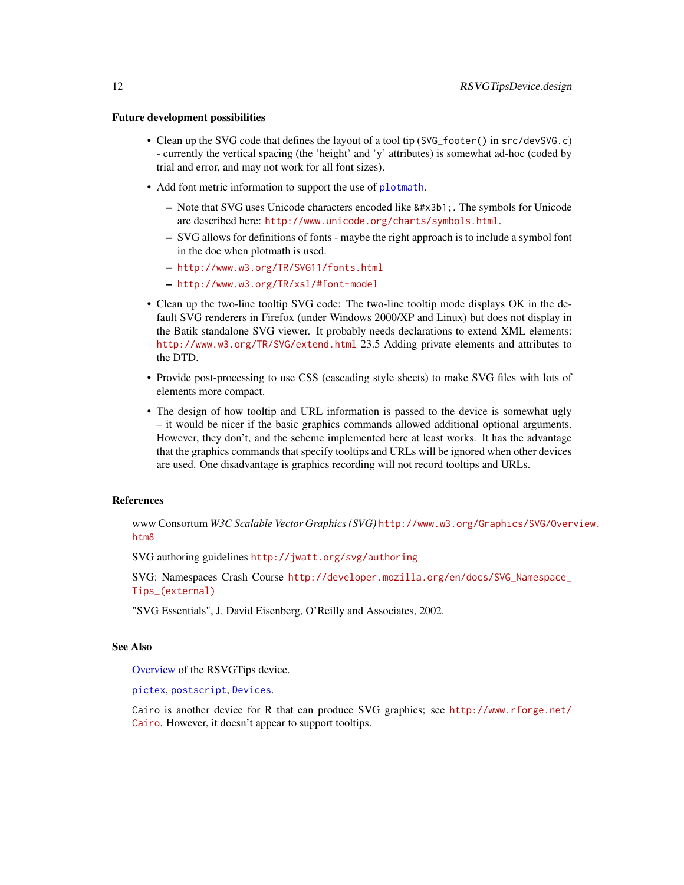#### <span id="page-11-0"></span>Future development possibilities

- Clean up the SVG code that defines the layout of a tool tip (SVG\_footer() in src/devSVG.c) - currently the vertical spacing (the 'height' and 'y' attributes) is somewhat ad-hoc (coded by trial and error, and may not work for all font sizes).
- Add font metric information to support the use of [plotmath](#page-0-0).
	- Note that SVG uses Unicode characters encoded like α. The symbols for Unicode are described here: <http://www.unicode.org/charts/symbols.html>.
	- SVG allows for definitions of fonts maybe the right approach is to include a symbol font in the doc when plotmath is used.
	- <http://www.w3.org/TR/SVG11/fonts.html>
	- <http://www.w3.org/TR/xsl/#font-model>
- Clean up the two-line tooltip SVG code: The two-line tooltip mode displays OK in the default SVG renderers in Firefox (under Windows 2000/XP and Linux) but does not display in the Batik standalone SVG viewer. It probably needs declarations to extend XML elements: <http://www.w3.org/TR/SVG/extend.html> 23.5 Adding private elements and attributes to the DTD.
- Provide post-processing to use CSS (cascading style sheets) to make SVG files with lots of elements more compact.
- The design of how tooltip and URL information is passed to the device is somewhat ugly – it would be nicer if the basic graphics commands allowed additional optional arguments. However, they don't, and the scheme implemented here at least works. It has the advantage that the graphics commands that specify tooltips and URLs will be ignored when other devices are used. One disadvantage is graphics recording will not record tooltips and URLs.

#### References

www Consortum *W3C Scalable Vector Graphics (SVG)* [http://www.w3.org/Graphics/SVG/Over](http://www.w3.org/Graphics/SVG/Overview.htm8)view. [htm8](http://www.w3.org/Graphics/SVG/Overview.htm8)

SVG authoring guidelines <http://jwatt.org/svg/authoring>

SVG: Namespaces Crash Course [http://developer.mozilla.org/en/docs/SVG\\_Namespace\\_](http://developer.mozilla.org/en/docs/SVG_Namespace_Tips_(external)) [Tips\\_\(external\)](http://developer.mozilla.org/en/docs/SVG_Namespace_Tips_(external))

"SVG Essentials", J. David Eisenberg, O'Reilly and Associates, 2002.

## See Also

[Overview](#page-5-1) of the RSVGTips device.

[pictex](#page-0-0), [postscript](#page-0-0), [Devices](#page-0-0).

Cairo is another device for R that can produce SVG graphics; see [http://www.rforge.net/](http://www.rforge.net/Cairo) [Cairo](http://www.rforge.net/Cairo). However, it doesn't appear to support tooltips.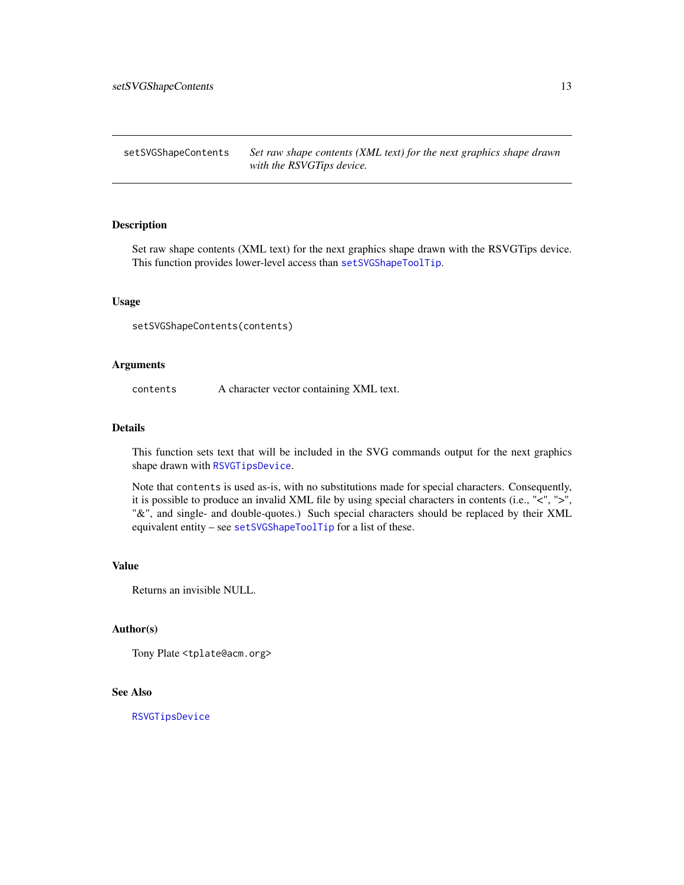<span id="page-12-0"></span>setSVGShapeContents *Set raw shape contents (XML text) for the next graphics shape drawn with the RSVGTips device.*

## Description

Set raw shape contents (XML text) for the next graphics shape drawn with the RSVGTips device. This function provides lower-level access than [setSVGShapeToolTip](#page-13-1).

## Usage

setSVGShapeContents(contents)

#### Arguments

contents A character vector containing XML text.

#### Details

This function sets text that will be included in the SVG commands output for the next graphics shape drawn with [RSVGTipsDevice](#page-5-1).

Note that contents is used as-is, with no substitutions made for special characters. Consequently, it is possible to produce an invalid XML file by using special characters in contents (i.e., "<", ">", "&", and single- and double-quotes.) Such special characters should be replaced by their XML equivalent entity – see [setSVGShapeToolTip](#page-13-1) for a list of these.

## Value

Returns an invisible NULL.

#### Author(s)

Tony Plate <tplate@acm.org>

## See Also

[RSVGTipsDevice](#page-5-1)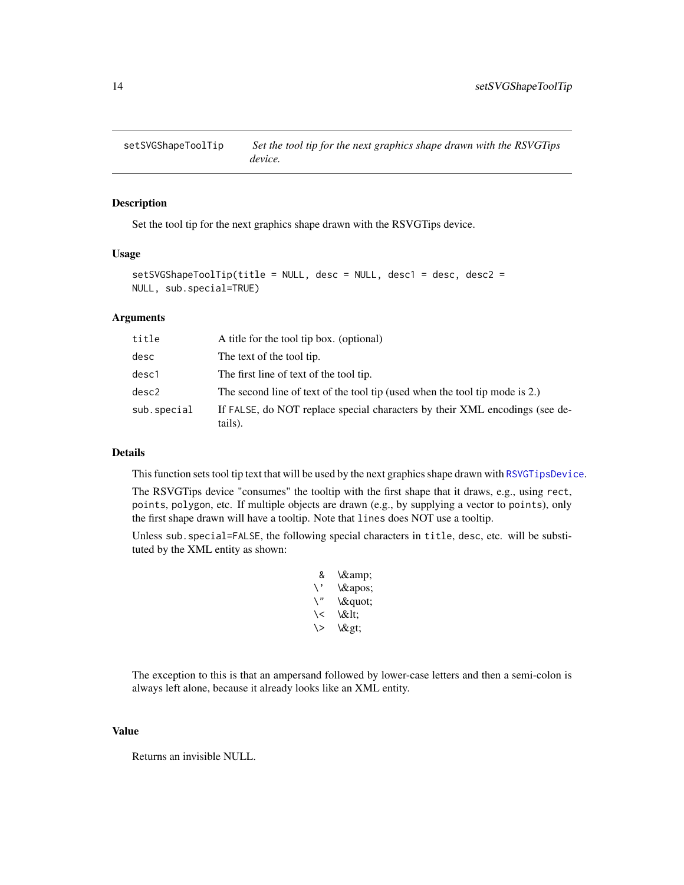<span id="page-13-1"></span><span id="page-13-0"></span>

## Description

Set the tool tip for the next graphics shape drawn with the RSVGTips device.

#### Usage

```
setSVGShapeToolTip(title = NULL, desc = NULL, desc1 = desc, desc2 =
NULL, sub.special=TRUE)
```
#### Arguments

| title       | A title for the tool tip box. (optional)                                               |
|-------------|----------------------------------------------------------------------------------------|
| desc        | The text of the tool tip.                                                              |
| desc1       | The first line of text of the tool tip.                                                |
| desc2       | The second line of text of the tool tip (used when the tool tip mode is 2.)            |
| sub.special | If FALSE, do NOT replace special characters by their XML encodings (see de-<br>tails). |

#### Details

This function sets tool tip text that will be used by the next graphics shape drawn with [RSVGTipsDevice](#page-5-1).

The RSVGTips device "consumes" the tooltip with the first shape that it draws, e.g., using rect, points, polygon, etc. If multiple objects are drawn (e.g., by supplying a vector to points), only the first shape drawn will have a tooltip. Note that lines does NOT use a tooltip.

Unless sub.special=FALSE, the following special characters in title, desc, etc. will be substituted by the XML entity as shown:

> & \& \' \' \" \" \< \&lt;  $\&$  \>

The exception to this is that an ampersand followed by lower-case letters and then a semi-colon is always left alone, because it already looks like an XML entity.

#### Value

Returns an invisible NULL.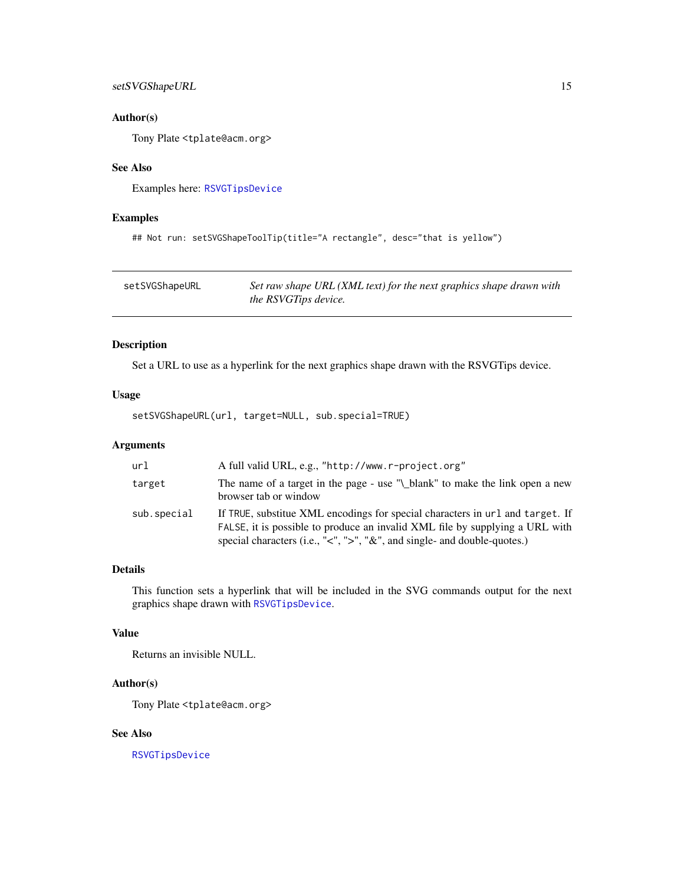## <span id="page-14-0"></span>setSVGShapeURL 15

## Author(s)

Tony Plate <tplate@acm.org>

## See Also

Examples here: [RSVGTipsDevice](#page-5-1)

#### Examples

```
## Not run: setSVGShapeToolTip(title="A rectangle", desc="that is yellow")
```
<span id="page-14-1"></span>

| setSVGShapeURL | Set raw shape URL (XML text) for the next graphics shape drawn with |
|----------------|---------------------------------------------------------------------|
|                | <i>the RSVGTips device.</i>                                         |

## Description

Set a URL to use as a hyperlink for the next graphics shape drawn with the RSVGTips device.

## Usage

setSVGShapeURL(url, target=NULL, sub.special=TRUE)

## Arguments

| url         | A full valid URL, e.g., "http://www.r-project.org"                                                                                                                                                                                                         |
|-------------|------------------------------------------------------------------------------------------------------------------------------------------------------------------------------------------------------------------------------------------------------------|
| target      | The name of a target in the page - use "\_blank" to make the link open a new<br>browser tab or window                                                                                                                                                      |
| sub.special | If TRUE, substitue XML encodings for special characters in url and target. If<br>FALSE, it is possible to produce an invalid XML file by supplying a URL with<br>special characters (i.e., " $\lt$ ", " $\gt$ ", " $\&$ ", and single- and double-quotes.) |

#### Details

This function sets a hyperlink that will be included in the SVG commands output for the next graphics shape drawn with [RSVGTipsDevice](#page-5-1).

## Value

Returns an invisible NULL.

#### Author(s)

Tony Plate <tplate@acm.org>

## See Also

[RSVGTipsDevice](#page-5-1)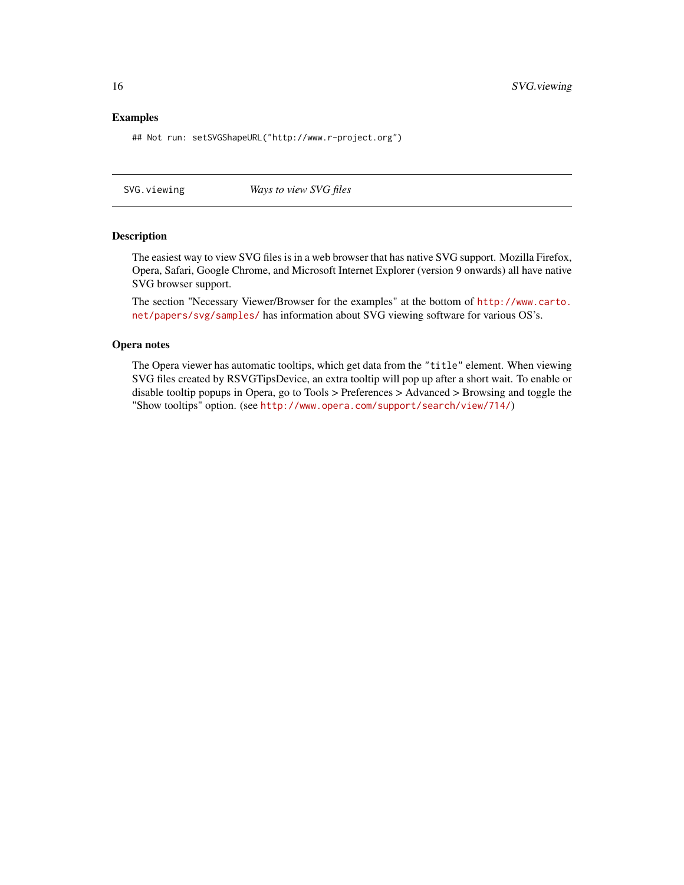## <span id="page-15-0"></span>Examples

## Not run: setSVGShapeURL("http://www.r-project.org")

<span id="page-15-1"></span>SVG.viewing *Ways to view SVG files*

#### Description

The easiest way to view SVG files is in a web browser that has native SVG support. Mozilla Firefox, Opera, Safari, Google Chrome, and Microsoft Internet Explorer (version 9 onwards) all have native SVG browser support.

The section "Necessary Viewer/Browser for the examples" at the bottom of [http://www.carto.](http://www.carto.net/papers/svg/samples/) [net/papers/svg/samples/](http://www.carto.net/papers/svg/samples/) has information about SVG viewing software for various OS's.

## Opera notes

The Opera viewer has automatic tooltips, which get data from the "title" element. When viewing SVG files created by RSVGTipsDevice, an extra tooltip will pop up after a short wait. To enable or disable tooltip popups in Opera, go to Tools > Preferences > Advanced > Browsing and toggle the "Show tooltips" option. (see <http://www.opera.com/support/search/view/714/>)